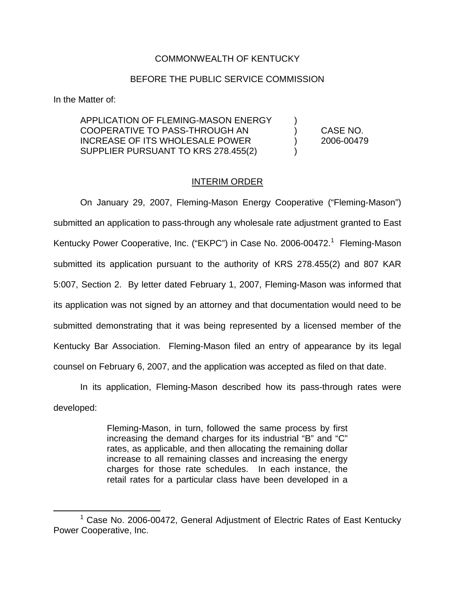## COMMONWEALTH OF KENTUCKY

## BEFORE THE PUBLIC SERVICE COMMISSION

In the Matter of:

APPLICATION OF FLEMING-MASON ENERGY ) COOPERATIVE TO PASS-THROUGH AN ) CASE NO. INCREASE OF ITS WHOLESALE POWER ) 2006-00479 SUPPLIER PURSUANT TO KRS 278.455(2) )

## INTERIM ORDER

On January 29, 2007, Fleming-Mason Energy Cooperative ("Fleming-Mason") submitted an application to pass-through any wholesale rate adjustment granted to East Kentucky Power Cooperative, Inc. ("EKPC") in Case No. 2006-00472.<sup>1</sup> Fleming-Mason submitted its application pursuant to the authority of KRS 278.455(2) and 807 KAR 5:007, Section 2. By letter dated February 1, 2007, Fleming-Mason was informed that its application was not signed by an attorney and that documentation would need to be submitted demonstrating that it was being represented by a licensed member of the Kentucky Bar Association. Fleming-Mason filed an entry of appearance by its legal counsel on February 6, 2007, and the application was accepted as filed on that date.

In its application, Fleming-Mason described how its pass-through rates were developed:

> Fleming-Mason, in turn, followed the same process by first increasing the demand charges for its industrial "B" and "C" rates, as applicable, and then allocating the remaining dollar increase to all remaining classes and increasing the energy charges for those rate schedules. In each instance, the retail rates for a particular class have been developed in a

<sup>1</sup> Case No. 2006-00472, General Adjustment of Electric Rates of East Kentucky Power Cooperative, Inc.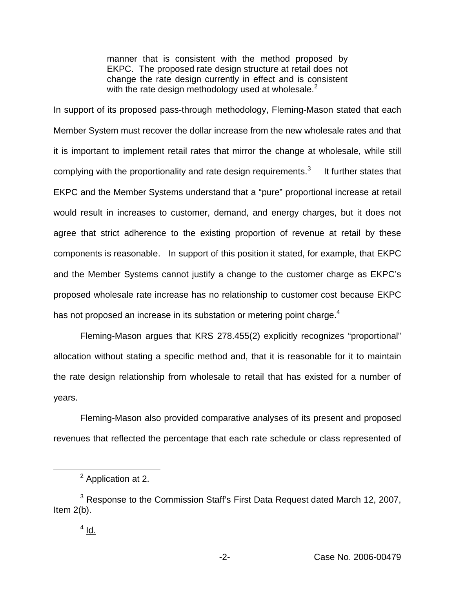manner that is consistent with the method proposed by EKPC. The proposed rate design structure at retail does not change the rate design currently in effect and is consistent with the rate design methodology used at wholesale. $<sup>2</sup>$ </sup>

In support of its proposed pass-through methodology, Fleming-Mason stated that each Member System must recover the dollar increase from the new wholesale rates and that it is important to implement retail rates that mirror the change at wholesale, while still complying with the proportionality and rate design requirements. $3$  It further states that EKPC and the Member Systems understand that a "pure" proportional increase at retail would result in increases to customer, demand, and energy charges, but it does not agree that strict adherence to the existing proportion of revenue at retail by these components is reasonable. In support of this position it stated, for example, that EKPC and the Member Systems cannot justify a change to the customer charge as EKPC's proposed wholesale rate increase has no relationship to customer cost because EKPC has not proposed an increase in its substation or metering point charge.<sup>4</sup>

Fleming-Mason argues that KRS 278.455(2) explicitly recognizes "proportional" allocation without stating a specific method and, that it is reasonable for it to maintain the rate design relationship from wholesale to retail that has existed for a number of years.

Fleming-Mason also provided comparative analyses of its present and proposed revenues that reflected the percentage that each rate schedule or class represented of

<sup>&</sup>lt;sup>2</sup> Application at 2.

<sup>&</sup>lt;sup>3</sup> Response to the Commission Staff's First Data Request dated March 12, 2007, Item 2(b).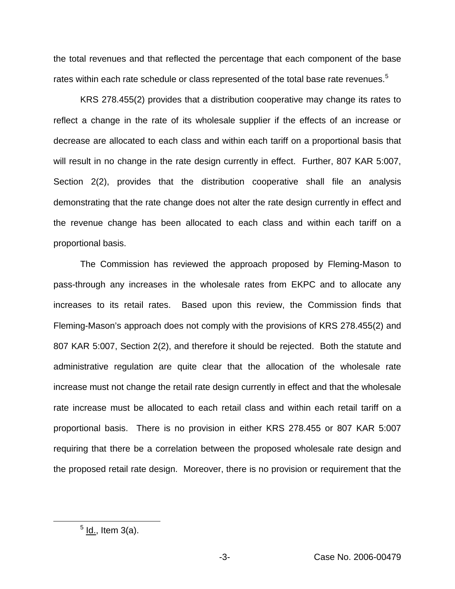the total revenues and that reflected the percentage that each component of the base rates within each rate schedule or class represented of the total base rate revenues.<sup>5</sup>

KRS 278.455(2) provides that a distribution cooperative may change its rates to reflect a change in the rate of its wholesale supplier if the effects of an increase or decrease are allocated to each class and within each tariff on a proportional basis that will result in no change in the rate design currently in effect. Further, 807 KAR 5:007, Section 2(2), provides that the distribution cooperative shall file an analysis demonstrating that the rate change does not alter the rate design currently in effect and the revenue change has been allocated to each class and within each tariff on a proportional basis.

The Commission has reviewed the approach proposed by Fleming-Mason to pass-through any increases in the wholesale rates from EKPC and to allocate any increases to its retail rates. Based upon this review, the Commission finds that Fleming-Mason's approach does not comply with the provisions of KRS 278.455(2) and 807 KAR 5:007, Section 2(2), and therefore it should be rejected. Both the statute and administrative regulation are quite clear that the allocation of the wholesale rate increase must not change the retail rate design currently in effect and that the wholesale rate increase must be allocated to each retail class and within each retail tariff on a proportional basis. There is no provision in either KRS 278.455 or 807 KAR 5:007 requiring that there be a correlation between the proposed wholesale rate design and the proposed retail rate design. Moreover, there is no provision or requirement that the

 $<sup>5</sup>$  Id., Item 3(a).</sup>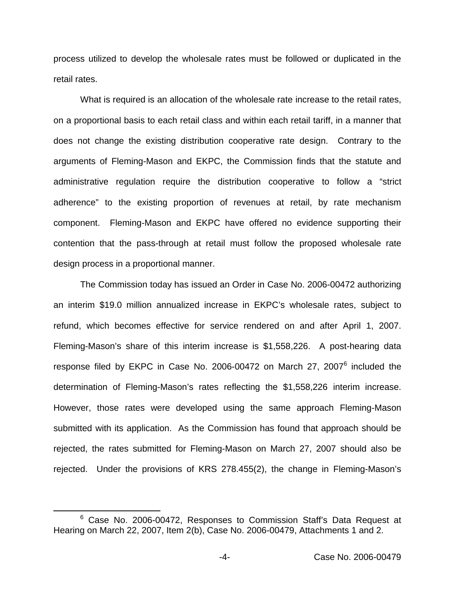process utilized to develop the wholesale rates must be followed or duplicated in the retail rates.

What is required is an allocation of the wholesale rate increase to the retail rates, on a proportional basis to each retail class and within each retail tariff, in a manner that does not change the existing distribution cooperative rate design. Contrary to the arguments of Fleming-Mason and EKPC, the Commission finds that the statute and administrative regulation require the distribution cooperative to follow a "strict adherence" to the existing proportion of revenues at retail, by rate mechanism component. Fleming-Mason and EKPC have offered no evidence supporting their contention that the pass-through at retail must follow the proposed wholesale rate design process in a proportional manner.

The Commission today has issued an Order in Case No. 2006-00472 authorizing an interim \$19.0 million annualized increase in EKPC's wholesale rates, subject to refund, which becomes effective for service rendered on and after April 1, 2007. Fleming-Mason's share of this interim increase is \$1,558,226. A post-hearing data response filed by EKPC in Case No. 2006-00472 on March 27, 2007 $^6$  included the determination of Fleming-Mason's rates reflecting the \$1,558,226 interim increase. However, those rates were developed using the same approach Fleming-Mason submitted with its application. As the Commission has found that approach should be rejected, the rates submitted for Fleming-Mason on March 27, 2007 should also be rejected. Under the provisions of KRS 278.455(2), the change in Fleming-Mason's

<sup>&</sup>lt;sup>6</sup> Case No. 2006-00472, Responses to Commission Staff's Data Request at Hearing on March 22, 2007, Item 2(b), Case No. 2006-00479, Attachments 1 and 2.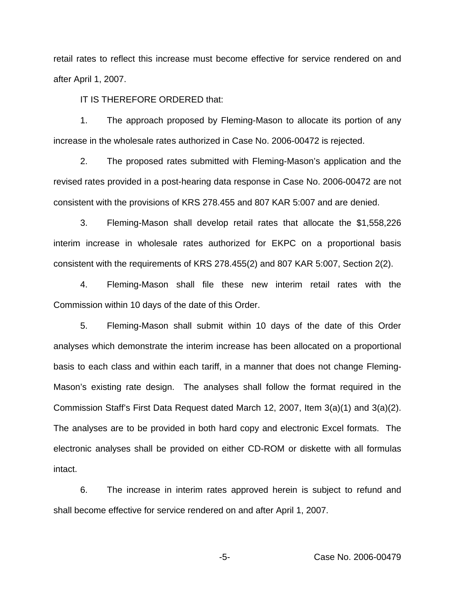retail rates to reflect this increase must become effective for service rendered on and after April 1, 2007.

IT IS THEREFORE ORDERED that:

1. The approach proposed by Fleming-Mason to allocate its portion of any increase in the wholesale rates authorized in Case No. 2006-00472 is rejected.

2. The proposed rates submitted with Fleming-Mason's application and the revised rates provided in a post-hearing data response in Case No. 2006-00472 are not consistent with the provisions of KRS 278.455 and 807 KAR 5:007 and are denied.

3. Fleming-Mason shall develop retail rates that allocate the \$1,558,226 interim increase in wholesale rates authorized for EKPC on a proportional basis consistent with the requirements of KRS 278.455(2) and 807 KAR 5:007, Section 2(2).

4. Fleming-Mason shall file these new interim retail rates with the Commission within 10 days of the date of this Order.

5. Fleming-Mason shall submit within 10 days of the date of this Order analyses which demonstrate the interim increase has been allocated on a proportional basis to each class and within each tariff, in a manner that does not change Fleming-Mason's existing rate design. The analyses shall follow the format required in the Commission Staff's First Data Request dated March 12, 2007, Item 3(a)(1) and 3(a)(2). The analyses are to be provided in both hard copy and electronic Excel formats. The electronic analyses shall be provided on either CD-ROM or diskette with all formulas intact.

6. The increase in interim rates approved herein is subject to refund and shall become effective for service rendered on and after April 1, 2007.